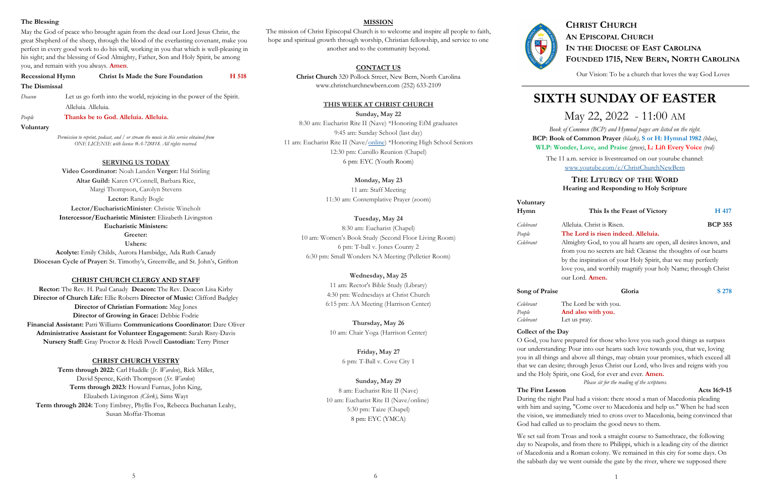## **The Blessing**

May the God of peace who brought again from the dead our Lord Jesus Christ, the great Shepherd of the sheep, through the blood of the everlasting covenant, make you perfect in every good work to do his will, working in you that which is well-pleasing in his sight; and the blessing of God Almighty, Father, Son and Holy Spirit, be among you, and remain with you always. **Amen**.

| <b>Recessional Hymn</b> | Christ Is Made the Sure Foundation                                    | H 518 |  |
|-------------------------|-----------------------------------------------------------------------|-------|--|
| The Dismissal           |                                                                       |       |  |
| Deacon                  | Let us go forth into the world, rejoicing in the power of the Spirit. |       |  |
|                         | Alleluia. Alleluia.                                                   |       |  |
| People                  | Thanks be to God. Alleluia. Alleluia.                                 |       |  |

**Voluntary**

*Permission to reprint, podcast, and / or stream the music in this service obtained from ONE LICENSE with license #A-728818. All rights reserved.* 

**SERVING US TODAY**

**Video Coordinator:** Noah Landen **Verger:** Hal Stirling **Altar Guild:** Karen O'Connell, Barbara Rice, Margi Thompson, Carolyn Stevens **Lector:** Randy Bogle **Lector/EucharisticMinister**: Christie Wineholt **Intercessor/Eucharistic Minister:** Elizabeth Livingston **Eucharistic Ministers: Greeter: Ushers:** 

**Acolyte:** Emily Childs, Aurora Hambidge, Ada Ruth Canady **Diocesan Cycle of Prayer:** St. Timothy's, Greenville, and St. John's, Grifton

### **CHRIST CHURCH CLERGY AND STAFF**

**Rector:** The Rev. H. Paul Canady **Deacon:** The Rev. Deacon Lisa Kirby **Director of Church Life:** Ellie Roberts **Director of Music:** Clifford Badgley **Director of Christian Formation:** Meg Jones **Director of Growing in Grace:** Debbie Fodrie **Financial Assistant:** Patti Williams **Communications Coordinator:** Dare Oliver **Administrative Assistant for Volunteer Engagement:** Sarah Risty-Davis **Nursery Staff:** Gray Proctor & Heidi Powell **Custodian:** Terry Pitner

### **CHRIST CHURCH VESTRY**

**Term through 2022:** Carl Huddle (*Jr. Warden*), Rick Miller, David Spence, Keith Thompson (*Sr. Warden*) **Term through 2023:** Howard Furnas, John King, Elizabeth Livingston *(Clerk),* Sims Wayt **Term through 2024:** Tony Embrey, Phyllis Fox, Rebecca Buchanan Leahy, Susan Moffat-Thomas

# **SIXTH SUNDAY OF EASTER**

# May 22, 2022 - 11:00 AM

*Book of Common (BCP) and Hymnal pages are listed on the right.*  **BCP: Book of Common Prayer** *(black),* **S or H: Hymnal 1982** *(blue)*, **WLP: Wonder, Love, and Praise** *(green)*, **L: Lift Every Voice** *(red)*

The 11 a.m. service is livestreamed on our youtube channel: [www.youtube.com/c/ChristChurchNewBern](http://www.youtube.com/c/ChristChurchNewBern)

# **THE LITURGY OF THE WORD Hearing and Responding to Holy Scripture**

# **Hymn** This Is the Feast of Victory **H** 417

# **Voluntary**

# **Song of Praise Gloria** Gloria S 278

*Celebrant* Alleluia. Christ is Risen. **BCP 355** 

*People* **The Lord is risen indeed. Alleluia.**

*Celebrant* Almighty God, to you all hearts are open, all desires known, and from you no secrets are hid: Cleanse the thoughts of our hearts by the inspiration of your Holy Spirit, that we may perfectly love you, and worthily magnify your holy Name; through Christ our Lord. **Amen.**

*Celebrant* The Lord be with you. *People* **And also with you.** *Celebrant* Let us pray.

**Collect of the Day**  O God, you have prepared for those who love you such good things as surpass our understanding: Pour into our hearts such love towards you, that we, loving you in all things and above all things, may obtain your promises, which exceed all that we can desire; through Jesus Christ our Lord, who lives and reigns with you and the Holy Spirit, one God, for ever and ever. **Amen.** 

 *Please sit for the reading of the scriptures.*

**The First Lesson** Acts 16:9-15

# During the night Paul had a vision: there stood a man of Macedonia pleading with him and saying, "Come over to Macedonia and help us." When he had seen the vision, we immediately tried to cross over to Macedonia, being convinced that God had called us to proclaim the good news to them.

We set sail from Troas and took a straight course to Samothrace, the following day to Neapolis, and from there to Philippi, which is a leading city of the district of Macedonia and a Roman colony. We remained in this city for some days. On the sabbath day we went outside the gate by the river, where we supposed there



# **CHRIST CHURCH AN EPISCOPAL CHURCH IN THE DIOCESE OF EAST CAROLINA FOUNDED 1715, NEW BERN, NORTH CAROLINA**

Our Vision: To be a church that loves the way God Loves

## **MISSION**

The mission of Christ Episcopal Church is to welcome and inspire all people to faith, hope and spiritual growth through worship, Christian fellowship, and service to one another and to the community beyond.

# **CONTACT US**

**Christ Church** 320 Pollock Street, New Bern, North Carolina www.christchurchnewbern.com (252) 633-2109

## **THIS WEEK AT CHRIST CHURCH**

**Sunday, May 22**

8:30 am: Eucharist Rite II (Nave) \*Honoring EfM graduates 9:45 am: Sunday School (last day) 11 am: Eucharist Rite II (Nave[/online\)](https://youtu.be/W1tCaDslvk4) \*Honoring High School Seniors 12:30 pm: Cursillo Reunion (Chapel) 6 pm: EYC (Youth Room)

**Monday, May 23**

11 am: Staff Meeting 11:30 am: Contemplative Prayer (zoom)

# **Tuesday, May 24**

8:30 am: Eucharist (Chapel) 10 am: Women's Book Study (Second Floor Living Room) 6 pm: T-ball v. Jones County 2 6:30 pm: Small Wonders NA Meeting (Pelletier Room)

> **Wednesday, May 25** 11 am: Rector's Bible Study (Library) 4:30 pm: Wednesdays at Christ Church 6:15 pm: AA Meeting (Harrison Center)

**Thursday, May 26** 10 am: Chair Yoga (Harrison Center)

> **Friday, May 27** 6 pm: T-Ball v. Cove City 1

**Sunday, May 29** 8 am: Eucharist Rite II (Nave) 10 am: Eucharist Rite II (Nave/online) 5:30 pm: Taize (Chapel) 8 pm: EYC (YMCA)